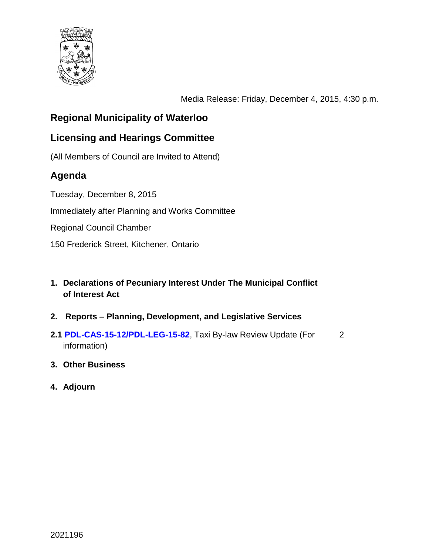

Media Release: Friday, December 4, 2015, 4:30 p.m.

# **Regional Municipality of Waterloo**

## **Licensing and Hearings Committee**

(All Members of Council are Invited to Attend)

# **Agenda**

Tuesday, December 8, 2015

Immediately after Planning and Works Committee

Regional Council Chamber

150 Frederick Street, Kitchener, Ontario

- **1. Declarations of Pecuniary Interest Under The Municipal Conflict of Interest Act**
- **2. Reports – Planning, Development, and Legislative Services**
- **2.[1 PDL-CAS-15-12/PDL-LEG-15-82](#page-1-0)**, Taxi By-law Review Update (For information) 2
- **3. Other Business**
- **4. Adjourn**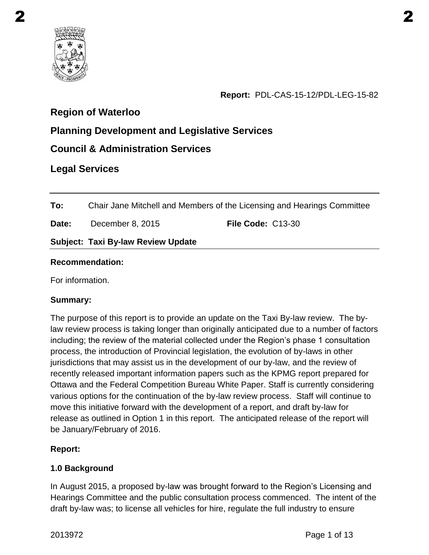<span id="page-1-0"></span>

**Report:** PDL-CAS-15-12/PDL-LEG-15-82

## **Region of Waterloo**

# **Planning Development and Legislative Services**

## **Council & Administration Services**

## **Legal Services**

**To:** Chair Jane Mitchell and Members of the Licensing and Hearings Committee

**Date:** December 8, 2015 **File Code:** C13-30

#### **Subject: Taxi By-law Review Update**

#### **Recommendation:**

For information.

#### **Summary:**

The purpose of this report is to provide an update on the Taxi By-law review. The bylaw review process is taking longer than originally anticipated due to a number of factors including; the review of the material collected under the Region's phase 1 consultation process, the introduction of Provincial legislation, the evolution of by-laws in other jurisdictions that may assist us in the development of our by-law, and the review of recently released important information papers such as the KPMG report prepared for Ottawa and the Federal Competition Bureau White Paper. Staff is currently considering various options for the continuation of the by-law review process. Staff will continue to move this initiative forward with the development of a report, and draft by-law for release as outlined in Option 1 in this report. The anticipated release of the report will be January/February of 2016.

### **Report:**

#### **1.0 Background**

In August 2015, a proposed by-law was brought forward to the Region's Licensing and Hearings Committee and the public consultation process commenced. The intent of the draft by-law was; to license all vehicles for hire, regulate the full industry to ensure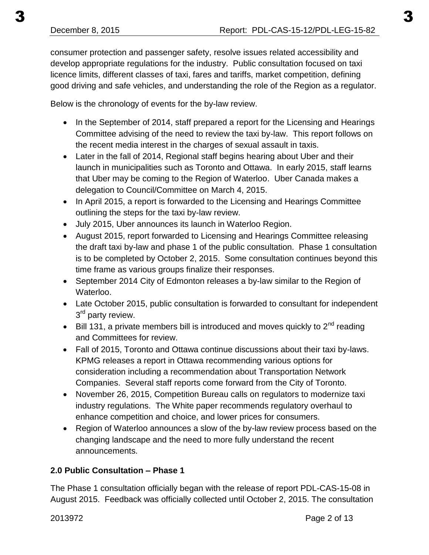consumer protection and passenger safety, resolve issues related accessibility and develop appropriate regulations for the industry. Public consultation focused on taxi licence limits, different classes of taxi, fares and tariffs, market competition, defining

Below is the chronology of events for the by-law review.

• In the September of 2014, staff prepared a report for the Licensing and Hearings Committee advising of the need to review the taxi by-law. This report follows on the recent media interest in the charges of sexual assault in taxis.

good driving and safe vehicles, and understanding the role of the Region as a regulator.

- Later in the fall of 2014, Regional staff begins hearing about Uber and their launch in municipalities such as Toronto and Ottawa. In early 2015, staff learns that Uber may be coming to the Region of Waterloo. Uber Canada makes a delegation to Council/Committee on March 4, 2015.
- In April 2015, a report is forwarded to the Licensing and Hearings Committee outlining the steps for the taxi by-law review.
- July 2015, Uber announces its launch in Waterloo Region.
- August 2015, report forwarded to Licensing and Hearings Committee releasing the draft taxi by-law and phase 1 of the public consultation. Phase 1 consultation is to be completed by October 2, 2015. Some consultation continues beyond this time frame as various groups finalize their responses.
- September 2014 City of Edmonton releases a by-law similar to the Region of Waterloo.
- Late October 2015, public consultation is forwarded to consultant for independent 3<sup>rd</sup> party review.
- $\bullet$  Bill 131, a private members bill is introduced and moves quickly to  $2^{nd}$  reading and Committees for review.
- Fall of 2015, Toronto and Ottawa continue discussions about their taxi by-laws. KPMG releases a report in Ottawa recommending various options for consideration including a recommendation about Transportation Network Companies. Several staff reports come forward from the City of Toronto.
- November 26, 2015, Competition Bureau calls on regulators to modernize taxi industry regulations. The White paper recommends regulatory overhaul to enhance competition and choice, and lower prices for consumers.
- Region of Waterloo announces a slow of the by-law review process based on the changing landscape and the need to more fully understand the recent announcements.

### **2.0 Public Consultation – Phase 1**

The Phase 1 consultation officially began with the release of report PDL-CAS-15-08 in August 2015. Feedback was officially collected until October 2, 2015. The consultation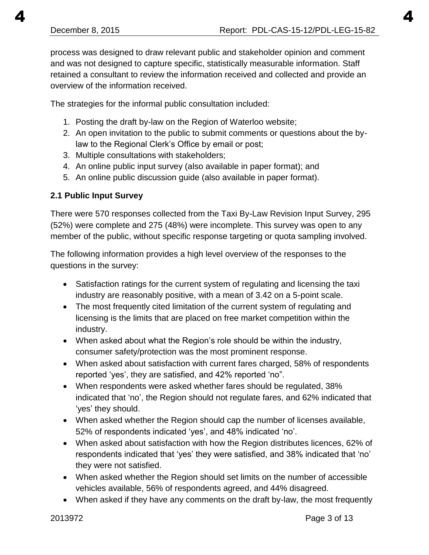process was designed to draw relevant public and stakeholder opinion and comment and was not designed to capture specific, statistically measurable information. Staff retained a consultant to review the information received and collected and provide an overview of the information received.

The strategies for the informal public consultation included:

- 1. Posting the draft by-law on the Region of Waterloo website;
- 2. An open invitation to the public to submit comments or questions about the bylaw to the Regional Clerk's Office by email or post;
- 3. Multiple consultations with stakeholders;
- 4. An online public input survey (also available in paper format); and
- 5. An online public discussion guide (also available in paper format).

## **2.1 Public Input Survey**

There were 570 responses collected from the Taxi By-Law Revision Input Survey, 295 (52%) were complete and 275 (48%) were incomplete. This survey was open to any member of the public, without specific response targeting or quota sampling involved.

The following information provides a high level overview of the responses to the questions in the survey:

- Satisfaction ratings for the current system of regulating and licensing the taxi industry are reasonably positive, with a mean of 3.42 on a 5-point scale.
- The most frequently cited limitation of the current system of regulating and licensing is the limits that are placed on free market competition within the industry.
- When asked about what the Region's role should be within the industry, consumer safety/protection was the most prominent response.
- When asked about satisfaction with current fares charged, 58% of respondents reported 'yes', they are satisfied, and 42% reported 'no".
- When respondents were asked whether fares should be regulated, 38% indicated that 'no', the Region should not regulate fares, and 62% indicated that 'yes' they should.
- When asked whether the Region should cap the number of licenses available, 52% of respondents indicated 'yes', and 48% indicated 'no'.
- When asked about satisfaction with how the Region distributes licences, 62% of respondents indicated that 'yes' they were satisfied, and 38% indicated that 'no' they were not satisfied.
- When asked whether the Region should set limits on the number of accessible vehicles available, 56% of respondents agreed, and 44% disagreed.
- When asked if they have any comments on the draft by-law, the most frequently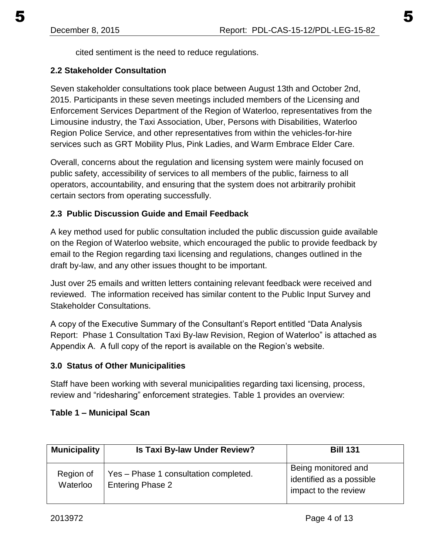cited sentiment is the need to reduce regulations.

### **2.2 Stakeholder Consultation**

Seven stakeholder consultations took place between August 13th and October 2nd, 2015. Participants in these seven meetings included members of the Licensing and Enforcement Services Department of the Region of Waterloo, representatives from the Limousine industry, the Taxi Association, Uber, Persons with Disabilities, Waterloo Region Police Service, and other representatives from within the vehicles-for-hire services such as GRT Mobility Plus, Pink Ladies, and Warm Embrace Elder Care.

Overall, concerns about the regulation and licensing system were mainly focused on public safety, accessibility of services to all members of the public, fairness to all operators, accountability, and ensuring that the system does not arbitrarily prohibit certain sectors from operating successfully.

### **2.3 Public Discussion Guide and Email Feedback**

A key method used for public consultation included the public discussion guide available on the Region of Waterloo website, which encouraged the public to provide feedback by email to the Region regarding taxi licensing and regulations, changes outlined in the draft by-law, and any other issues thought to be important.

Just over 25 emails and written letters containing relevant feedback were received and reviewed. The information received has similar content to the Public Input Survey and Stakeholder Consultations.

A copy of the Executive Summary of the Consultant's Report entitled "Data Analysis Report: Phase 1 Consultation Taxi By-law Revision, Region of Waterloo" is attached as Appendix A. A full copy of the report is available on the Region's website.

#### **3.0 Status of Other Municipalities**

Staff have been working with several municipalities regarding taxi licensing, process, review and "ridesharing" enforcement strategies. Table 1 provides an overview:

#### **Table 1 – Municipal Scan**

| <b>Municipality</b>   | Is Taxi By-law Under Review?                                     | <b>Bill 131</b>                                                         |
|-----------------------|------------------------------------------------------------------|-------------------------------------------------------------------------|
| Region of<br>Waterloo | Yes - Phase 1 consultation completed.<br><b>Entering Phase 2</b> | Being monitored and<br>identified as a possible<br>impact to the review |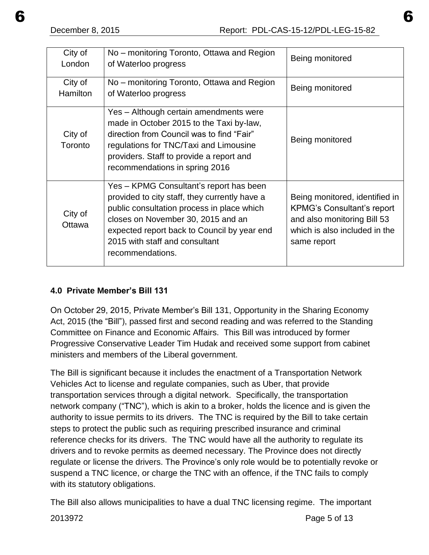| City of<br>London          | No – monitoring Toronto, Ottawa and Region<br>of Waterloo progress                                                                                                                                                                                                                | Being monitored                                                                                                                                    |
|----------------------------|-----------------------------------------------------------------------------------------------------------------------------------------------------------------------------------------------------------------------------------------------------------------------------------|----------------------------------------------------------------------------------------------------------------------------------------------------|
| City of<br><b>Hamilton</b> | No – monitoring Toronto, Ottawa and Region<br>of Waterloo progress                                                                                                                                                                                                                | Being monitored                                                                                                                                    |
| City of<br>Toronto         | Yes - Although certain amendments were<br>made in October 2015 to the Taxi by-law,<br>direction from Council was to find "Fair"<br>regulations for TNC/Taxi and Limousine<br>providers. Staff to provide a report and<br>recommendations in spring 2016                           | Being monitored                                                                                                                                    |
| City of<br>Ottawa          | Yes - KPMG Consultant's report has been<br>provided to city staff, they currently have a<br>public consultation process in place which<br>closes on November 30, 2015 and an<br>expected report back to Council by year end<br>2015 with staff and consultant<br>recommendations. | Being monitored, identified in<br><b>KPMG's Consultant's report</b><br>and also monitoring Bill 53<br>which is also included in the<br>same report |

### **4.0 Private Member's Bill 131**

On October 29, 2015, Private Member's Bill 131, Opportunity in the Sharing Economy Act, 2015 (the "Bill"), passed first and second reading and was referred to the Standing Committee on Finance and Economic Affairs. This Bill was introduced by former Progressive Conservative Leader Tim Hudak and received some support from cabinet ministers and members of the Liberal government.

The Bill is significant because it includes the enactment of a Transportation Network Vehicles Act to license and regulate companies, such as Uber, that provide transportation services through a digital network. Specifically, the transportation network company ("TNC"), which is akin to a broker, holds the licence and is given the authority to issue permits to its drivers. The TNC is required by the Bill to take certain steps to protect the public such as requiring prescribed insurance and criminal reference checks for its drivers. The TNC would have all the authority to regulate its drivers and to revoke permits as deemed necessary. The Province does not directly regulate or license the drivers. The Province's only role would be to potentially revoke or suspend a TNC licence, or charge the TNC with an offence, if the TNC fails to comply with its statutory obligations.

The Bill also allows municipalities to have a dual TNC licensing regime. The important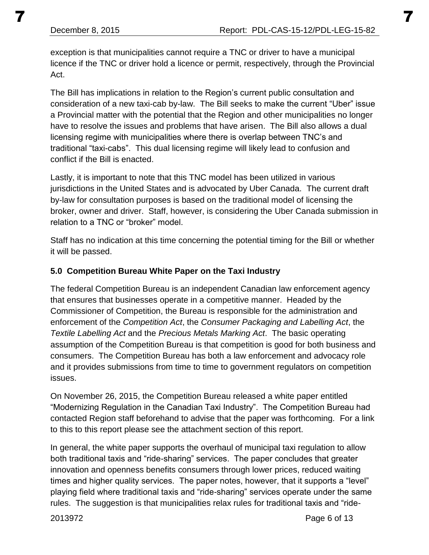exception is that municipalities cannot require a TNC or driver to have a municipal licence if the TNC or driver hold a licence or permit, respectively, through the Provincial Act.

The Bill has implications in relation to the Region's current public consultation and consideration of a new taxi-cab by-law. The Bill seeks to make the current "Uber" issue a Provincial matter with the potential that the Region and other municipalities no longer have to resolve the issues and problems that have arisen. The Bill also allows a dual licensing regime with municipalities where there is overlap between TNC's and traditional "taxi-cabs". This dual licensing regime will likely lead to confusion and conflict if the Bill is enacted.

Lastly, it is important to note that this TNC model has been utilized in various jurisdictions in the United States and is advocated by Uber Canada. The current draft by-law for consultation purposes is based on the traditional model of licensing the broker, owner and driver. Staff, however, is considering the Uber Canada submission in relation to a TNC or "broker" model.

Staff has no indication at this time concerning the potential timing for the Bill or whether it will be passed.

### **5.0 Competition Bureau White Paper on the Taxi Industry**

The federal Competition Bureau is an independent Canadian law enforcement agency that ensures that businesses operate in a competitive manner. Headed by the Commissioner of Competition, the Bureau is responsible for the administration and enforcement of the *Competition Act*, the *Consumer Packaging and Labelling Act*, the *Textile Labelling Act* and the *Precious Metals Marking Act*. The basic operating assumption of the Competition Bureau is that competition is good for both business and consumers. The Competition Bureau has both a law enforcement and advocacy role and it provides submissions from time to time to government regulators on competition issues.

On November 26, 2015, the Competition Bureau released a white paper entitled "Modernizing Regulation in the Canadian Taxi Industry". The Competition Bureau had contacted Region staff beforehand to advise that the paper was forthcoming. For a link to this to this report please see the attachment section of this report.

In general, the white paper supports the overhaul of municipal taxi regulation to allow both traditional taxis and "ride-sharing" services. The paper concludes that greater innovation and openness benefits consumers through lower prices, reduced waiting times and higher quality services. The paper notes, however, that it supports a "level" playing field where traditional taxis and "ride-sharing" services operate under the same rules. The suggestion is that municipalities relax rules for traditional taxis and "ride-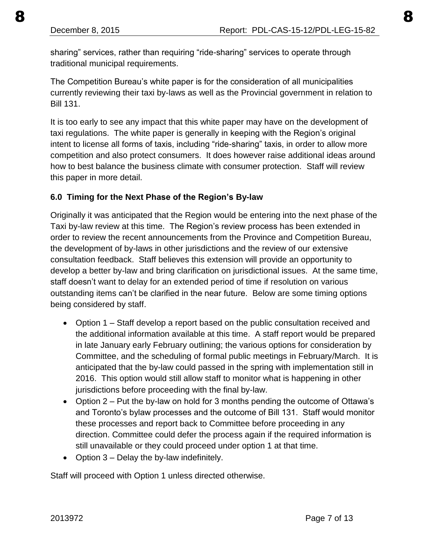sharing" services, rather than requiring "ride-sharing" services to operate through traditional municipal requirements.

The Competition Bureau's white paper is for the consideration of all municipalities currently reviewing their taxi by-laws as well as the Provincial government in relation to Bill 131.

It is too early to see any impact that this white paper may have on the development of taxi regulations. The white paper is generally in keeping with the Region's original intent to license all forms of taxis, including "ride-sharing" taxis, in order to allow more competition and also protect consumers. It does however raise additional ideas around how to best balance the business climate with consumer protection. Staff will review this paper in more detail.

### **6.0 Timing for the Next Phase of the Region's By-law**

Originally it was anticipated that the Region would be entering into the next phase of the Taxi by-law review at this time. The Region's review process has been extended in order to review the recent announcements from the Province and Competition Bureau, the development of by-laws in other jurisdictions and the review of our extensive consultation feedback. Staff believes this extension will provide an opportunity to develop a better by-law and bring clarification on jurisdictional issues. At the same time, staff doesn't want to delay for an extended period of time if resolution on various outstanding items can't be clarified in the near future. Below are some timing options being considered by staff.

- Option 1 Staff develop a report based on the public consultation received and the additional information available at this time. A staff report would be prepared in late January early February outlining; the various options for consideration by Committee, and the scheduling of formal public meetings in February/March. It is anticipated that the by-law could passed in the spring with implementation still in 2016. This option would still allow staff to monitor what is happening in other jurisdictions before proceeding with the final by-law.
- Option 2 Put the by-law on hold for 3 months pending the outcome of Ottawa's and Toronto's bylaw processes and the outcome of Bill 131. Staff would monitor these processes and report back to Committee before proceeding in any direction. Committee could defer the process again if the required information is still unavailable or they could proceed under option 1 at that time.
- Option  $3 -$  Delay the by-law indefinitely.

Staff will proceed with Option 1 unless directed otherwise.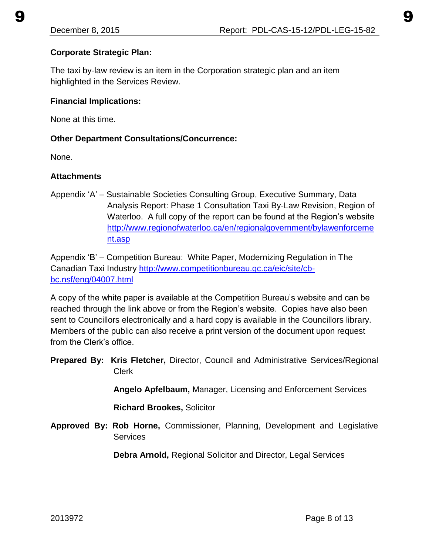## **Corporate Strategic Plan:**

The taxi by-law review is an item in the Corporation strategic plan and an item highlighted in the Services Review.

### **Financial Implications:**

None at this time.

### **Other Department Consultations/Concurrence:**

None.

### **Attachments**

Appendix 'A' – Sustainable Societies Consulting Group, Executive Summary, Data Analysis Report: Phase 1 Consultation Taxi By-Law Revision, Region of Waterloo. A full copy of the report can be found at the Region's website [http://www.regionofwaterloo.ca/en/regionalgovernment/bylawenforceme](http://www.regionofwaterloo.ca/en/regionalgovernment/bylawenforcement.asp) [nt.asp](http://www.regionofwaterloo.ca/en/regionalgovernment/bylawenforcement.asp) 

Appendix 'B' – Competition Bureau: White Paper, Modernizing Regulation in The Canadian Taxi Industry [http://www.competitionbureau.gc.ca/eic/site/cb](http://www.competitionbureau.gc.ca/eic/site/cb-bc.nsf/eng/04007.html)[bc.nsf/eng/04007.html](http://www.competitionbureau.gc.ca/eic/site/cb-bc.nsf/eng/04007.html)

A copy of the white paper is available at the Competition Bureau's website and can be reached through the link above or from the Region's website. Copies have also been sent to Councillors electronically and a hard copy is available in the Councillors library. Members of the public can also receive a print version of the document upon request from the Clerk's office.

**Prepared By: Kris Fletcher,** Director, Council and Administrative Services/Regional Clerk

 **Angelo Apfelbaum,** Manager, Licensing and Enforcement Services

**Richard Brookes,** Solicitor

**Approved By: Rob Horne,** Commissioner, Planning, Development and Legislative **Services** 

 **Debra Arnold,** Regional Solicitor and Director, Legal Services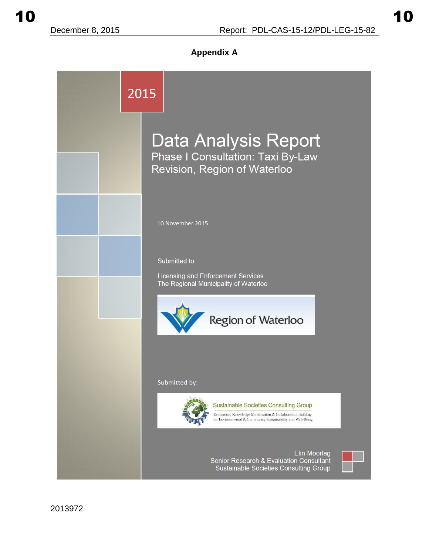**Appendix A** 

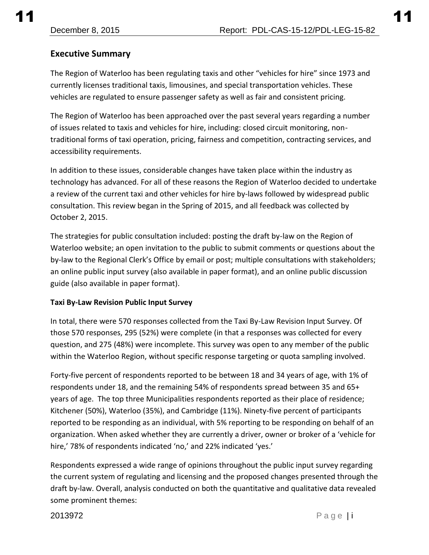## **Executive Summary**

The Region of Waterloo has been regulating taxis and other "vehicles for hire" since 1973 and currently licenses traditional taxis, limousines, and special transportation vehicles. These vehicles are regulated to ensure passenger safety as well as fair and consistent pricing.

The Region of Waterloo has been approached over the past several years regarding a number of issues related to taxis and vehicles for hire, including: closed circuit monitoring, nontraditional forms of taxi operation, pricing, fairness and competition, contracting services, and accessibility requirements.

In addition to these issues, considerable changes have taken place within the industry as technology has advanced. For all of these reasons the Region of Waterloo decided to undertake a review of the current taxi and other vehicles for hire by-laws followed by widespread public consultation. This review began in the Spring of 2015, and all feedback was collected by October 2, 2015.

The strategies for public consultation included: posting the draft by-law on the Region of Waterloo website; an open invitation to the public to submit comments or questions about the by-law to the Regional Clerk's Office by email or post; multiple consultations with stakeholders; an online public input survey (also available in paper format), and an online public discussion guide (also available in paper format).

#### **Taxi By-Law Revision Public Input Survey**

In total, there were 570 responses collected from the Taxi By-Law Revision Input Survey. Of those 570 responses, 295 (52%) were complete (in that a responses was collected for every question, and 275 (48%) were incomplete. This survey was open to any member of the public within the Waterloo Region, without specific response targeting or quota sampling involved.

Forty-five percent of respondents reported to be between 18 and 34 years of age, with 1% of respondents under 18, and the remaining 54% of respondents spread between 35 and 65+ years of age. The top three Municipalities respondents reported as their place of residence; Kitchener (50%), Waterloo (35%), and Cambridge (11%). Ninety-five percent of participants reported to be responding as an individual, with 5% reporting to be responding on behalf of an organization. When asked whether they are currently a driver, owner or broker of a 'vehicle for hire,' 78% of respondents indicated 'no,' and 22% indicated 'yes.'

Respondents expressed a wide range of opinions throughout the public input survey regarding the current system of regulating and licensing and the proposed changes presented through the draft by-law. Overall, analysis conducted on both the quantitative and qualitative data revealed some prominent themes: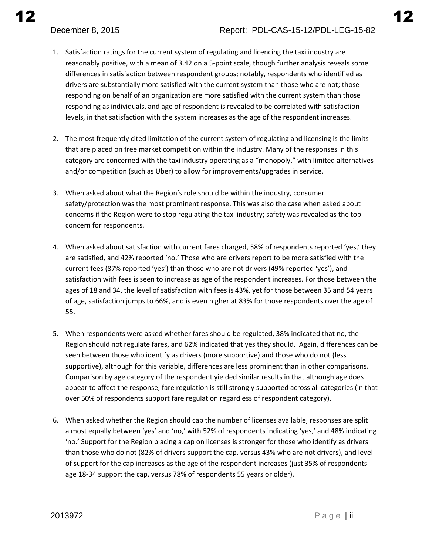- 1. Satisfaction ratings for the current system of regulating and licencing the taxi industry are reasonably positive, with a mean of 3.42 on a 5-point scale, though further analysis reveals some differences in satisfaction between respondent groups; notably, respondents who identified as drivers are substantially more satisfied with the current system than those who are not; those responding on behalf of an organization are more satisfied with the current system than those responding as individuals, and age of respondent is revealed to be correlated with satisfaction levels, in that satisfaction with the system increases as the age of the respondent increases.
- 2. The most frequently cited limitation of the current system of regulating and licensing is the limits that are placed on free market competition within the industry. Many of the responses in this category are concerned with the taxi industry operating as a "monopoly," with limited alternatives and/or competition (such as Uber) to allow for improvements/upgrades in service.
- 3. When asked about what the Region's role should be within the industry, consumer safety/protection was the most prominent response. This was also the case when asked about concerns if the Region were to stop regulating the taxi industry; safety was revealed as the top concern for respondents.
- 4. When asked about satisfaction with current fares charged, 58% of respondents reported 'yes,' they are satisfied, and 42% reported 'no.' Those who are drivers report to be more satisfied with the current fees (87% reported 'yes') than those who are not drivers (49% reported 'yes'), and satisfaction with fees is seen to increase as age of the respondent increases. For those between the ages of 18 and 34, the level of satisfaction with fees is 43%, yet for those between 35 and 54 years of age, satisfaction jumps to 66%, and is even higher at 83% for those respondents over the age of 55.
- 5. When respondents were asked whether fares should be regulated, 38% indicated that no, the Region should not regulate fares, and 62% indicated that yes they should. Again, differences can be seen between those who identify as drivers (more supportive) and those who do not (less supportive), although for this variable, differences are less prominent than in other comparisons. Comparison by age category of the respondent yielded similar results in that although age does appear to affect the response, fare regulation is still strongly supported across all categories (in that over 50% of respondents support fare regulation regardless of respondent category).
- 6. When asked whether the Region should cap the number of licenses available, responses are split almost equally between 'yes' and 'no,' with 52% of respondents indicating 'yes,' and 48% indicating 'no.' Support for the Region placing a cap on licenses is stronger for those who identify as drivers than those who do not (82% of drivers support the cap, versus 43% who are not drivers), and level of support for the cap increases as the age of the respondent increases (just 35% of respondents age 18-34 support the cap, versus 78% of respondents 55 years or older).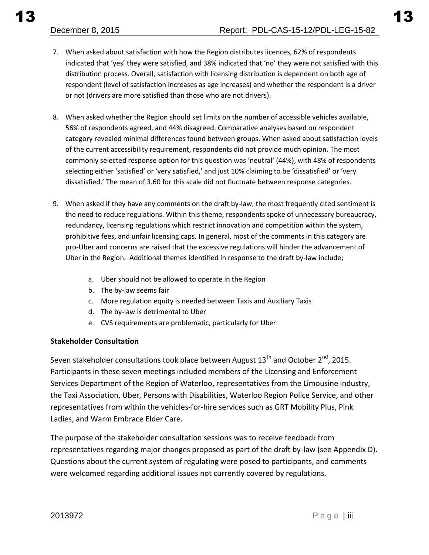- 7. When asked about satisfaction with how the Region distributes licences, 62% of respondents indicated that 'yes' they were satisfied, and 38% indicated that 'no' they were not satisfied with this distribution process. Overall, satisfaction with licensing distribution is dependent on both age of respondent (level of satisfaction increases as age increases) and whether the respondent is a driver or not (drivers are more satisfied than those who are not drivers).
- 8. When asked whether the Region should set limits on the number of accessible vehicles available, 56% of respondents agreed, and 44% disagreed. Comparative analyses based on respondent category revealed minimal differences found between groups. When asked about satisfaction levels of the current accessibility requirement, respondents did not provide much opinion. The most commonly selected response option for this question was 'neutral' (44%), with 48% of respondents selecting either 'satisfied' or 'very satisfied,' and just 10% claiming to be 'dissatisfied' or 'very dissatisfied.' The mean of 3.60 for this scale did not fluctuate between response categories.
- 9. When asked if they have any comments on the draft by-law, the most frequently cited sentiment is the need to reduce regulations. Within this theme, respondents spoke of unnecessary bureaucracy, redundancy, licensing regulations which restrict innovation and competition within the system, prohibitive fees, and unfair licensing caps. In general, most of the comments in this category are pro-Uber and concerns are raised that the excessive regulations will hinder the advancement of Uber in the Region. Additional themes identified in response to the draft by-law include;
	- a. Uber should not be allowed to operate in the Region
	- b. The by-law seems fair
	- c. More regulation equity is needed between Taxis and Auxiliary Taxis
	- d. The by-law is detrimental to Uber
	- e. CVS requirements are problematic, particularly for Uber

#### **Stakeholder Consultation**

Seven stakeholder consultations took place between August  $13<sup>th</sup>$  and October  $2<sup>nd</sup>$ , 2015. Participants in these seven meetings included members of the Licensing and Enforcement Services Department of the Region of Waterloo, representatives from the Limousine industry, the Taxi Association, Uber, Persons with Disabilities, Waterloo Region Police Service, and other representatives from within the vehicles-for-hire services such as GRT Mobility Plus, Pink Ladies, and Warm Embrace Elder Care.

The purpose of the stakeholder consultation sessions was to receive feedback from representatives regarding major changes proposed as part of the draft by-law (see Appendix D). Questions about the current system of regulating were posed to participants, and comments were welcomed regarding additional issues not currently covered by regulations.